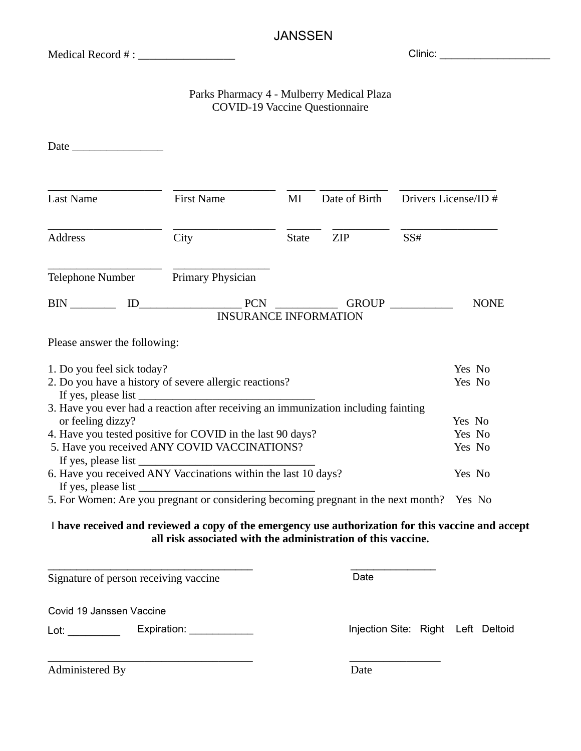### JANSSEN

Medical Record # : \_\_\_\_\_\_\_\_\_\_\_\_\_\_\_\_\_

Clinic: \_\_\_\_\_\_\_\_\_\_\_\_\_\_\_\_\_\_\_

### Parks Pharmacy 4 - Mulberry Medical Plaza COVID-19 Vaccine Questionnaire

| <b>Last Name</b>                                                                                                                                                                                                      | <b>First Name</b>                                   | MI           | Date of Birth |       | Drivers License/ID #       |
|-----------------------------------------------------------------------------------------------------------------------------------------------------------------------------------------------------------------------|-----------------------------------------------------|--------------|---------------|-------|----------------------------|
| <b>Address</b>                                                                                                                                                                                                        | City                                                | <b>State</b> | ZIP           | SS#   |                            |
| Telephone Number Primary Physician                                                                                                                                                                                    |                                                     |              |               |       |                            |
| <b>BIN</b>                                                                                                                                                                                                            | $ID$ $PCN$ $\qquad$<br><b>INSURANCE INFORMATION</b> |              |               | GROUP | <b>NONE</b>                |
| Please answer the following:                                                                                                                                                                                          |                                                     |              |               |       |                            |
| 1. Do you feel sick today?<br>2. Do you have a history of severe allergic reactions?                                                                                                                                  |                                                     |              |               |       | Yes No<br>Yes No           |
| 3. Have you ever had a reaction after receiving an immunization including fainting<br>or feeling dizzy?<br>4. Have you tested positive for COVID in the last 90 days?<br>5. Have you received ANY COVID VACCINATIONS? |                                                     |              |               |       | Yes No<br>Yes No<br>Yes No |
| 6. Have you received ANY Vaccinations within the last 10 days?<br>5. For Women: Are you pregnant or considering becoming pregnant in the next month?                                                                  | If yes, please list                                 |              |               |       | Yes No<br>Yes No           |

#### I **have received and reviewed a copy of the emergency use authorization for this vaccine and accept all risk associated with the administration of this vaccine.**

**\_\_\_\_\_\_\_\_\_\_\_\_\_\_\_\_\_\_\_\_\_\_\_\_\_\_\_\_\_\_\_\_\_\_\_\_ \_\_\_\_\_\_\_\_\_\_\_\_\_\_\_** Signature of person receiving vaccine

Date

Covid 19 Jaseen Vaccine Covid 19 Janssen Vaccine Loting is a consequented by a consequent of  $\mathbb{R}^n$ 

Lot: \_\_\_\_\_\_\_\_\_

Injection Site: Right Left Deltoid

\_\_\_\_\_\_\_\_\_\_\_\_\_\_\_\_\_\_\_\_\_\_\_\_\_\_\_\_\_\_\_\_\_\_\_\_ \_\_\_\_\_\_\_\_\_\_\_\_\_\_\_\_ Administered By Date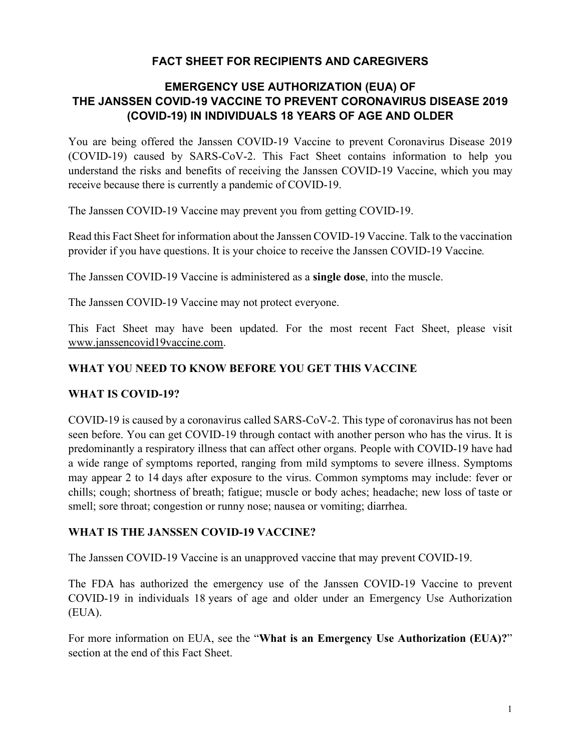# **FACT SHEET FOR RECIPIENTS AND CAREGIVERS**

# **EMERGENCY USE AUTHORIZATION (EUA) OF THE JANSSEN COVID-19 VACCINE TO PREVENT CORONAVIRUS DISEASE 2019 (COVID-19) IN INDIVIDUALS 18 YEARS OF AGE AND OLDER**

You are being offered the Janssen COVID-19 Vaccine to prevent Coronavirus Disease 2019 (COVID-19) caused by SARS-CoV-2. This Fact Sheet contains information to help you understand the risks and benefits of receiving the Janssen COVID-19 Vaccine, which you may receive because there is currently a pandemic of COVID-19.

The Janssen COVID-19 Vaccine may prevent you from getting COVID-19.

Read this Fact Sheet for information about the Janssen COVID-19 Vaccine. Talk to the vaccination provider if you have questions. It is your choice to receive the Janssen COVID-19 Vaccine*.*

The Janssen COVID-19 Vaccine is administered as a **single dose**, into the muscle.

The Janssen COVID-19 Vaccine may not protect everyone.

This Fact Sheet may have been updated. For the most recent Fact Sheet, please visit www.janssencovid19vaccine.com.

### **WHAT YOU NEED TO KNOW BEFORE YOU GET THIS VACCINE**

#### **WHAT IS COVID-19?**

COVID-19 is caused by a coronavirus called SARS-CoV-2. This type of coronavirus has not been seen before. You can get COVID-19 through contact with another person who has the virus. It is predominantly a respiratory illness that can affect other organs. People with COVID-19 have had a wide range of symptoms reported, ranging from mild symptoms to severe illness. Symptoms may appear 2 to 14 days after exposure to the virus. Common symptoms may include: fever or chills; cough; shortness of breath; fatigue; muscle or body aches; headache; new loss of taste or smell; sore throat; congestion or runny nose; nausea or vomiting; diarrhea.

#### **WHAT IS THE JANSSEN COVID-19 VACCINE?**

The Janssen COVID-19 Vaccine is an unapproved vaccine that may prevent COVID-19.

The FDA has authorized the emergency use of the Janssen COVID-19 Vaccine to prevent COVID-19 in individuals 18 years of age and older under an Emergency Use Authorization (EUA).

For more information on EUA, see the "**What is an Emergency Use Authorization (EUA)?**" section at the end of this Fact Sheet.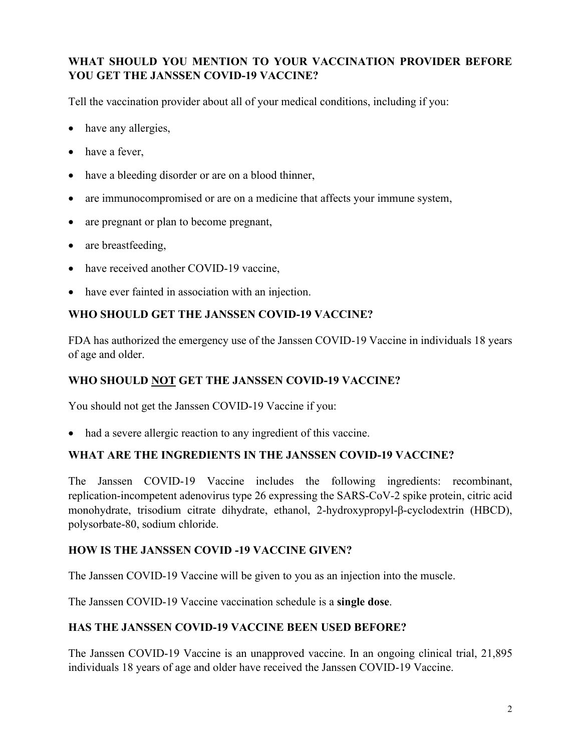# **WHAT SHOULD YOU MENTION TO YOUR VACCINATION PROVIDER BEFORE YOU GET THE JANSSEN COVID-19 VACCINE?**

Tell the vaccination provider about all of your medical conditions, including if you:

- have any allergies,
- have a fever,
- have a bleeding disorder or are on a blood thinner,
- are immunocompromised or are on a medicine that affects your immune system,
- are pregnant or plan to become pregnant,
- are breastfeeding,
- have received another COVID-19 vaccine,
- have ever fainted in association with an injection.

## **WHO SHOULD GET THE JANSSEN COVID-19 VACCINE?**

FDA has authorized the emergency use of the Janssen COVID-19 Vaccine in individuals 18 years of age and older.

## **WHO SHOULD NOT GET THE JANSSEN COVID-19 VACCINE?**

You should not get the Janssen COVID-19 Vaccine if you:

• had a severe allergic reaction to any ingredient of this vaccine.

#### **WHAT ARE THE INGREDIENTS IN THE JANSSEN COVID-19 VACCINE?**

The Janssen COVID-19 Vaccine includes the following ingredients: recombinant, replication-incompetent adenovirus type 26 expressing the SARS-CoV-2 spike protein, citric acid monohydrate, trisodium citrate dihydrate, ethanol, 2-hydroxypropyl-β-cyclodextrin (HBCD), polysorbate-80, sodium chloride.

## **HOW IS THE JANSSEN COVID -19 VACCINE GIVEN?**

The Janssen COVID-19 Vaccine will be given to you as an injection into the muscle.

The Janssen COVID-19 Vaccine vaccination schedule is a **single dose**.

## **HAS THE JANSSEN COVID-19 VACCINE BEEN USED BEFORE?**

The Janssen COVID-19 Vaccine is an unapproved vaccine. In an ongoing clinical trial, 21,895 individuals 18 years of age and older have received the Janssen COVID-19 Vaccine.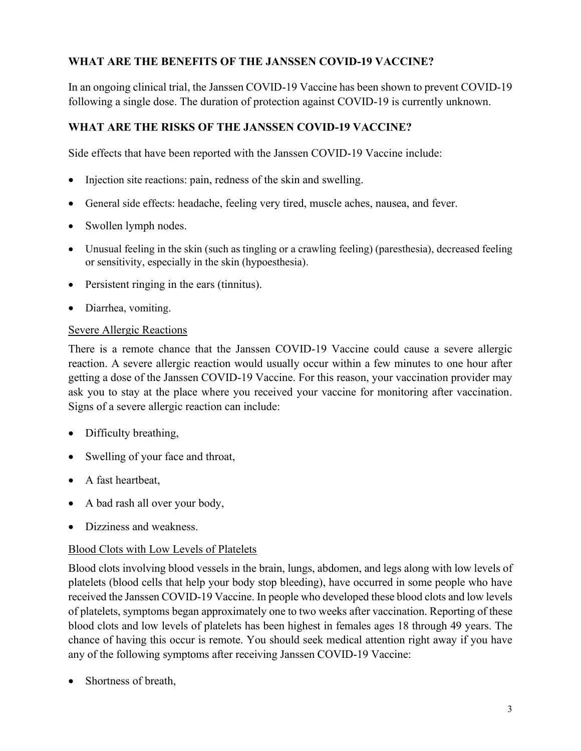## **WHAT ARE THE BENEFITS OF THE JANSSEN COVID-19 VACCINE?**

In an ongoing clinical trial, the Janssen COVID-19 Vaccine has been shown to prevent COVID-19 following a single dose. The duration of protection against COVID-19 is currently unknown.

# **WHAT ARE THE RISKS OF THE JANSSEN COVID-19 VACCINE?**

Side effects that have been reported with the Janssen COVID-19 Vaccine include:

- Injection site reactions: pain, redness of the skin and swelling.
- General side effects: headache, feeling very tired, muscle aches, nausea, and fever.
- Swollen lymph nodes.
- Unusual feeling in the skin (such as tingling or a crawling feeling) (paresthesia), decreased feeling or sensitivity, especially in the skin (hypoesthesia).
- Persistent ringing in the ears (tinnitus).
- Diarrhea, vomiting.

### Severe Allergic Reactions

There is a remote chance that the Janssen COVID-19 Vaccine could cause a severe allergic reaction. A severe allergic reaction would usually occur within a few minutes to one hour after getting a dose of the Janssen COVID-19 Vaccine. For this reason, your vaccination provider may ask you to stay at the place where you received your vaccine for monitoring after vaccination. Signs of a severe allergic reaction can include:

- Difficulty breathing,
- Swelling of your face and throat,
- A fast heartbeat,
- A bad rash all over your body,
- Dizziness and weakness.

## Blood Clots with Low Levels of Platelets

Blood clots involving blood vessels in the brain, lungs, abdomen, and legs along with low levels of platelets (blood cells that help your body stop bleeding), have occurred in some people who have received the Janssen COVID-19 Vaccine. In people who developed these blood clots and low levels of platelets, symptoms began approximately one to two weeks after vaccination. Reporting of these blood clots and low levels of platelets has been highest in females ages 18 through 49 years. The chance of having this occur is remote. You should seek medical attention right away if you have any of the following symptoms after receiving Janssen COVID-19 Vaccine:

Shortness of breath,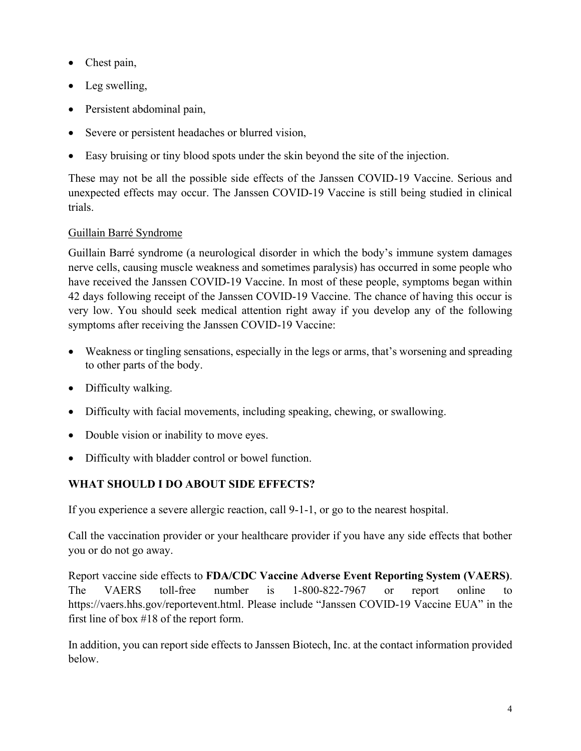- Chest pain,
- Leg swelling,
- Persistent abdominal pain,
- Severe or persistent headaches or blurred vision,
- Easy bruising or tiny blood spots under the skin beyond the site of the injection.

These may not be all the possible side effects of the Janssen COVID-19 Vaccine. Serious and unexpected effects may occur. The Janssen COVID-19 Vaccine is still being studied in clinical trials.

## Guillain Barré Syndrome

Guillain Barré syndrome (a neurological disorder in which the body's immune system damages nerve cells, causing muscle weakness and sometimes paralysis) has occurred in some people who have received the Janssen COVID-19 Vaccine. In most of these people, symptoms began within 42 days following receipt of the Janssen COVID-19 Vaccine. The chance of having this occur is very low. You should seek medical attention right away if you develop any of the following symptoms after receiving the Janssen COVID-19 Vaccine:

- Weakness or tingling sensations, especially in the legs or arms, that's worsening and spreading to other parts of the body.
- Difficulty walking.
- Difficulty with facial movements, including speaking, chewing, or swallowing.
- Double vision or inability to move eyes.
- Difficulty with bladder control or bowel function.

## **WHAT SHOULD I DO ABOUT SIDE EFFECTS?**

If you experience a severe allergic reaction, call 9-1-1, or go to the nearest hospital.

Call the vaccination provider or your healthcare provider if you have any side effects that bother you or do not go away.

Report vaccine side effects to **FDA/CDC Vaccine Adverse Event Reporting System (VAERS)**. The VAERS toll-free number is 1-800-822-7967 or report online to https://vaers.hhs.gov/reportevent.html. Please include "Janssen COVID-19 Vaccine EUA" in the first line of box #18 of the report form.

In addition, you can report side effects to Janssen Biotech, Inc. at the contact information provided below.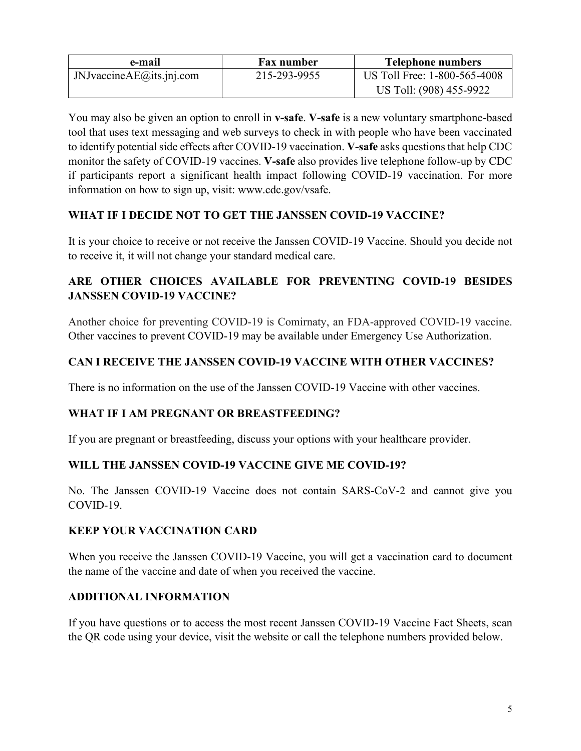| e-mail                       | <b>Fax number</b> | <b>Telephone numbers</b>     |
|------------------------------|-------------------|------------------------------|
| JNJvaccine $AE$ @its.jnj.com | 215-293-9955      | US Toll Free: 1-800-565-4008 |
|                              |                   | US Toll: (908) 455-9922      |

You may also be given an option to enroll in **v-safe**. **V-safe** is a new voluntary smartphone-based tool that uses text messaging and web surveys to check in with people who have been vaccinated to identify potential side effects after COVID-19 vaccination. **V-safe** asks questions that help CDC monitor the safety of COVID-19 vaccines. **V-safe** also provides live telephone follow-up by CDC if participants report a significant health impact following COVID-19 vaccination. For more information on how to sign up, visit: www.cdc.gov/vsafe.

### **WHAT IF I DECIDE NOT TO GET THE JANSSEN COVID-19 VACCINE?**

It is your choice to receive or not receive the Janssen COVID-19 Vaccine. Should you decide not to receive it, it will not change your standard medical care.

# **ARE OTHER CHOICES AVAILABLE FOR PREVENTING COVID-19 BESIDES JANSSEN COVID-19 VACCINE?**

Another choice for preventing COVID-19 is Comirnaty, an FDA-approved COVID-19 vaccine. Other vaccines to prevent COVID-19 may be available under Emergency Use Authorization.

## **CAN I RECEIVE THE JANSSEN COVID-19 VACCINE WITH OTHER VACCINES?**

There is no information on the use of the Janssen COVID-19 Vaccine with other vaccines.

#### **WHAT IF I AM PREGNANT OR BREASTFEEDING?**

If you are pregnant or breastfeeding, discuss your options with your healthcare provider.

#### **WILL THE JANSSEN COVID-19 VACCINE GIVE ME COVID-19?**

No. The Janssen COVID-19 Vaccine does not contain SARS-CoV-2 and cannot give you COVID-19.

#### **KEEP YOUR VACCINATION CARD**

When you receive the Janssen COVID-19 Vaccine, you will get a vaccination card to document the name of the vaccine and date of when you received the vaccine.

#### **ADDITIONAL INFORMATION**

If you have questions or to access the most recent Janssen COVID-19 Vaccine Fact Sheets, scan the QR code using your device, visit the website or call the telephone numbers provided below.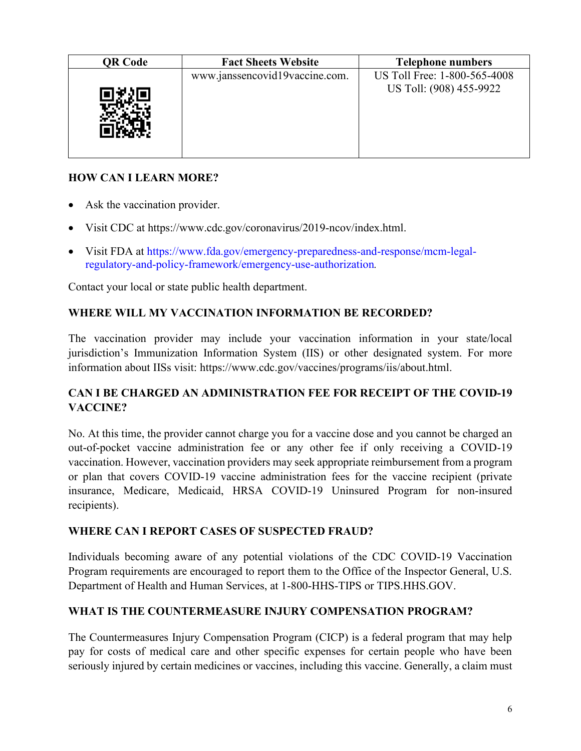| <b>QR Code</b> | <b>Fact Sheets Website</b>     | <b>Telephone numbers</b>                                |
|----------------|--------------------------------|---------------------------------------------------------|
|                | www.janssencovid19vaccine.com. | US Toll Free: 1-800-565-4008<br>US Toll: (908) 455-9922 |

## **HOW CAN I LEARN MORE?**

- Ask the vaccination provider.
- Visit CDC at https://www.cdc.gov/coronavirus/2019-ncov/index.html.
- Visit FDA at https://www.fda.gov/emergency-preparedness-and-response/mcm-legalregulatory-and-policy-framework/emergency-use-authorization*.*

Contact your local or state public health department.

#### **WHERE WILL MY VACCINATION INFORMATION BE RECORDED?**

The vaccination provider may include your vaccination information in your state/local jurisdiction's Immunization Information System (IIS) or other designated system. For more information about IISs visit: https://www.cdc.gov/vaccines/programs/iis/about.html.

### **CAN I BE CHARGED AN ADMINISTRATION FEE FOR RECEIPT OF THE COVID-19 VACCINE?**

No. At this time, the provider cannot charge you for a vaccine dose and you cannot be charged an out-of-pocket vaccine administration fee or any other fee if only receiving a COVID-19 vaccination. However, vaccination providers may seek appropriate reimbursement from a program or plan that covers COVID-19 vaccine administration fees for the vaccine recipient (private insurance, Medicare, Medicaid, HRSA COVID-19 Uninsured Program for non-insured recipients).

#### **WHERE CAN I REPORT CASES OF SUSPECTED FRAUD?**

Individuals becoming aware of any potential violations of the CDC COVID-19 Vaccination Program requirements are encouraged to report them to the Office of the Inspector General, U.S. Department of Health and Human Services, at 1-800-HHS-TIPS or TIPS.HHS.GOV.

#### **WHAT IS THE COUNTERMEASURE INJURY COMPENSATION PROGRAM?**

The Countermeasures Injury Compensation Program (CICP) is a federal program that may help pay for costs of medical care and other specific expenses for certain people who have been seriously injured by certain medicines or vaccines, including this vaccine. Generally, a claim must